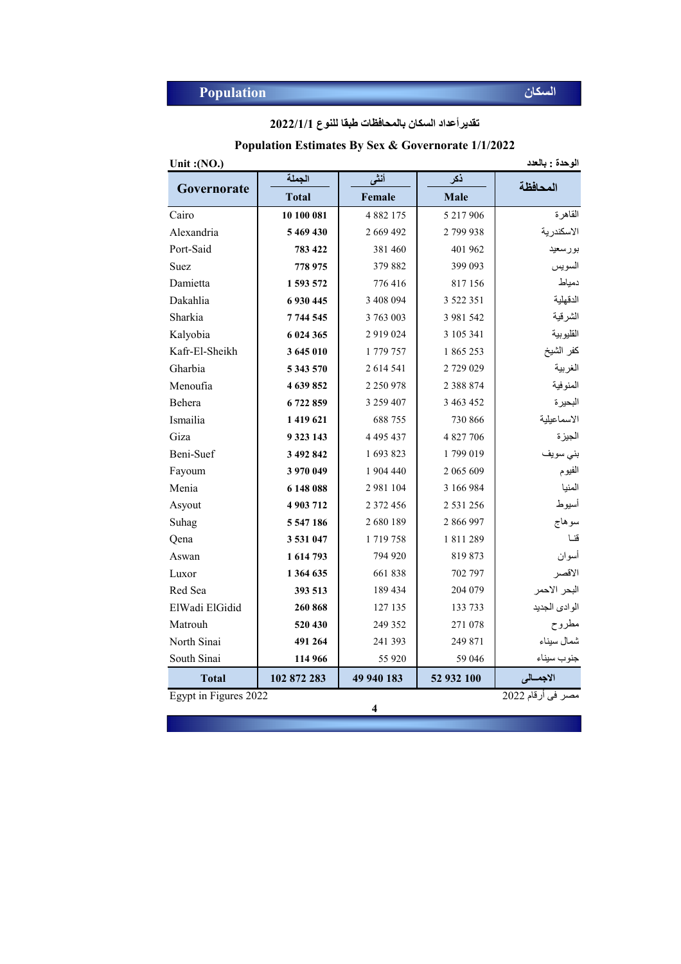| تقدير أعداد السكان بالمحافظات طبقا للنوع 2022/1/1 |  |  |  |
|---------------------------------------------------|--|--|--|
|---------------------------------------------------|--|--|--|

#### **Population Estimates By Sex & Governorate 1/1/2022**

| Unit: $(NO.)$  | الوحدة : بالعدد |               |               |               |  |  |  |  |
|----------------|-----------------|---------------|---------------|---------------|--|--|--|--|
|                | الجملة          | أنشى          | ذكر           | المحافظة      |  |  |  |  |
| Governorate    | <b>Total</b>    | Female        | <b>Male</b>   |               |  |  |  |  |
| Cairo          | 10 100 081      | 4 8 8 2 1 7 5 | 5 217 906     | القاهرة       |  |  |  |  |
| Alexandria     | 5 469 430       | 2 669 492     | 2799938       | الاسكندرية    |  |  |  |  |
| Port-Said      | 783 422         | 381460        | 401 962       | بورسعيد       |  |  |  |  |
| Suez           | 778 975         | 379 882       | 399 093       | السويس        |  |  |  |  |
| Damietta       | 1 593 572       | 776416        | 817 156       | دمياط         |  |  |  |  |
| Dakahlia       | 6930445         | 3 408 094     | 3 5 2 2 3 5 1 | الدقهلية      |  |  |  |  |
| Sharkia        | 7 744 545       | 3 763 003     | 3 981 542     | الشرقية       |  |  |  |  |
| Kalyobia       | 6 024 365       | 2 9 1 9 0 2 4 | 3 105 341     | القليوبية     |  |  |  |  |
| Kafr-El-Sheikh | 3 645 010       | 1 779 757     | 1865253       | كفر الشيخ     |  |  |  |  |
| Gharbia        | 5 343 570       | 2 614 541     | 2729029       | الغربية       |  |  |  |  |
| Menoufia       | 4 639 852       | 2 2 5 0 9 7 8 | 2 3 8 8 7 4   | المنوفية      |  |  |  |  |
| Behera         | 6722859         | 3 259 407     | 3 463 452     | البحير ة      |  |  |  |  |
| Ismailia       | 1 419 621       | 688755        | 730 866       | الاسماعيلية   |  |  |  |  |
| Giza           | 9 323 143       | 4 4 9 5 4 3 7 | 4 827 706     | الجيزة        |  |  |  |  |
| Beni-Suef      | 3 492 842       | 1 693 823     | 1799019       | بني سويف      |  |  |  |  |
| Fayoum         | 3 970 049       | 1 904 440     | 2 065 609     | الفيوم        |  |  |  |  |
| Menia          | 6 148 088       | 2 981 104     | 3 166 984     | المنيا        |  |  |  |  |
| Asyout         | 4 903 712       | 2 372 456     | 2 531 256     | أسيوط         |  |  |  |  |
| Suhag          | 5 547 186       | 2680189       | 2 866 997     | سوهاج         |  |  |  |  |
| Qena           | 3531047         | 1719758       | 1811289       | قنا           |  |  |  |  |
| Aswan          | 1 614 793       | 794 920       | 819873        | أسوان         |  |  |  |  |
| Luxor          | 1 364 635       | 661838        | 702 797       | الاقصر        |  |  |  |  |
| Red Sea        | 393 513         | 189 434       | 204 079       | البحر الاحمر  |  |  |  |  |
| ElWadi ElGidid | 260 868         | 127 135       | 133 733       | الوادي الجديد |  |  |  |  |
| Matrouh        | 520 430         | 249 352       | 271 078       | مطروح         |  |  |  |  |
| North Sinai    | 491 264         | 241 393       | 249 871       | شمال سيناء    |  |  |  |  |
| South Sinai    | 114 966         | 55 9 20       | 59 046        | جنوب سيناء    |  |  |  |  |
| <b>Total</b>   | 102 872 283     | 49 940 183    | 52 932 100    | الاجمسالى     |  |  |  |  |

**4**

مصر فى أرقام 2022  $\frac{1}{2022 \times 10^{-11} \text{ erg}}$  2022 مصر فى أرقام 2022 .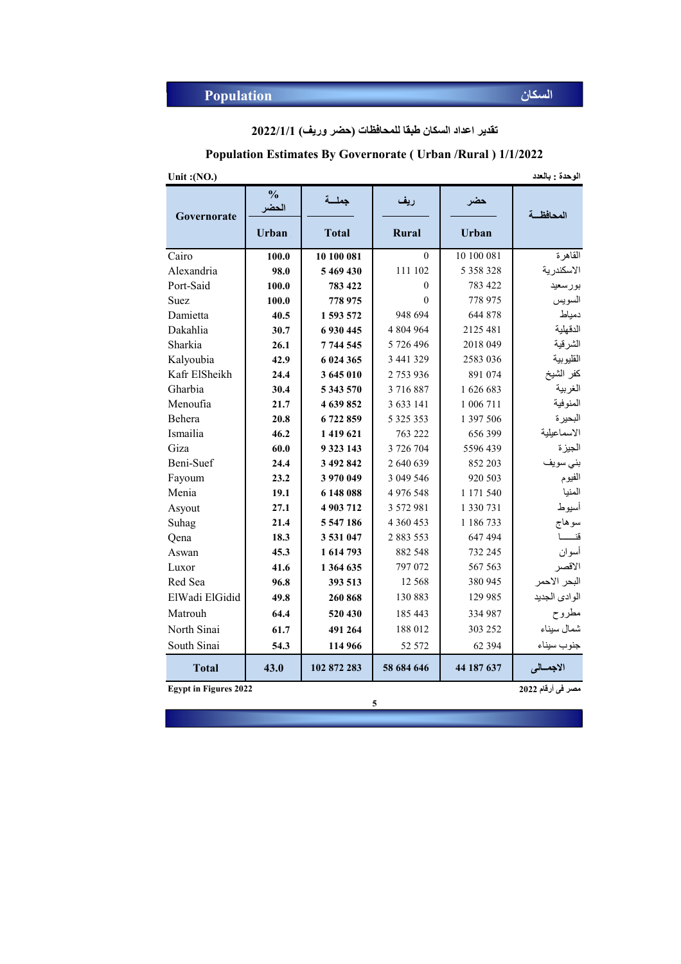**تقدیر اعداد السكان طبقا للمحافظات (حضر وریف) 2022/1/1**

|  | <b>Population Estimates By Governorate (Urban /Rural) 1/1/2022</b> |  |  |
|--|--------------------------------------------------------------------|--|--|
|  |                                                                    |  |  |

| Unit: $(NO.)$  |                        |              |               |               | الوحدة : بالعدد |
|----------------|------------------------|--------------|---------------|---------------|-----------------|
| Governorate    | $\frac{0}{0}$<br>الحضر | جملسة        | ريف           | حضر           | المحافظة        |
|                | <b>Urban</b>           | <b>Total</b> | <b>Rural</b>  | <b>Urban</b>  |                 |
| Cairo          | 100.0                  | 10 100 081   | $\theta$      | 10 100 081    | القاهرة         |
| Alexandria     | 98.0                   | 5 469 430    | 111 102       | 5 3 5 8 3 2 8 | الاسكندرية      |
| Port-Said      | 100.0                  | 783 422      | $\theta$      | 783 422       | بورسعيد         |
| <b>Suez</b>    | 100.0                  | 778 975      | $\theta$      | 778 975       | السويس          |
| Damietta       | 40.5                   | 1593572      | 948 694       | 644 878       | دمياط           |
| Dakahlia       | 30.7                   | 6 930 445    | 4 804 964     | 2125 481      | الدقهلية        |
| Sharkia        | 26.1                   | 7 744 545    | 5 726 496     | 2018 049      | الشرقية         |
| Kalyoubia      | 42.9                   | 6 024 365    | 3 441 329     | 2583 036      | القليوبية       |
| Kafr ElSheikh  | 24.4                   | 3 645 010    | 2753936       | 891 074       | كفر الشيخ       |
| Gharbia        | 30.4                   | 5 343 570    | 3716887       | 1626683       | الغربية         |
| Menoufia       | 21.7                   | 4 639 852    | 3 633 141     | 1 006 711     | المنوفية        |
| Behera         | 20.8                   | 6722859      | 5 3 2 5 3 5 3 | 1 397 506     | البحيرة         |
| Ismailia       | 46.2                   | 1419621      | 763 222       | 656 399       | الاسماعيلية     |
| Giza           | 60.0                   | 9 3 23 143   | 3 726 704     | 5596 439      | الجيزة          |
| Beni-Suef      | 24.4                   | 3 492 842    | 2 640 639     | 852 203       | بني سويف        |
| Fayoum         | 23.2                   | 3 970 049    | 3 049 546     | 920 503       | الفيوم          |
| Menia          | 19.1                   | 6 148 088    | 4 976 548     | 1 171 540     | المنيا          |
| Asyout         | 27.1                   | 4 903 712    | 3 572 981     | 1 3 3 0 7 3 1 | أسيوط           |
| Suhag          | 21.4                   | 5 547 186    | 4 360 453     | 1 186 733     | سوهاج           |
| Qena           | 18.3                   | 3 531 047    | 2 883 553     | 647 494       | قنــــــا       |
| Aswan          | 45.3                   | 1 614 793    | 882 548       | 732 245       | أسوان           |
| Luxor          | 41.6                   | 1 364 635    | 797 072       | 567 563       | الاقصر          |
| Red Sea        | 96.8                   | 393 513      | 12 5 6 8      | 380 945       | البحر الاحمر    |
| ElWadi ElGidid | 49.8                   | 260 868      | 130 883       | 129 985       | الوادي الجديد   |
| Matrouh        | 64.4                   | 520 430      | 185 443       | 334 987       | مطروح           |
| North Sinai    | 61.7                   | 491 264      | 188 012       | 303 252       | شمال سيناء      |
| South Sinai    | 54.3                   | 114 966      | 52 572        | 62 3 94       | جنوب سيناء      |
| <b>Total</b>   | 43.0                   | 102 872 283  | 58 684 646    | 44 187 637    | الاجمسالى       |

**Egypt in Figures 2022**

**5**

**مصر فى أرقام 2022**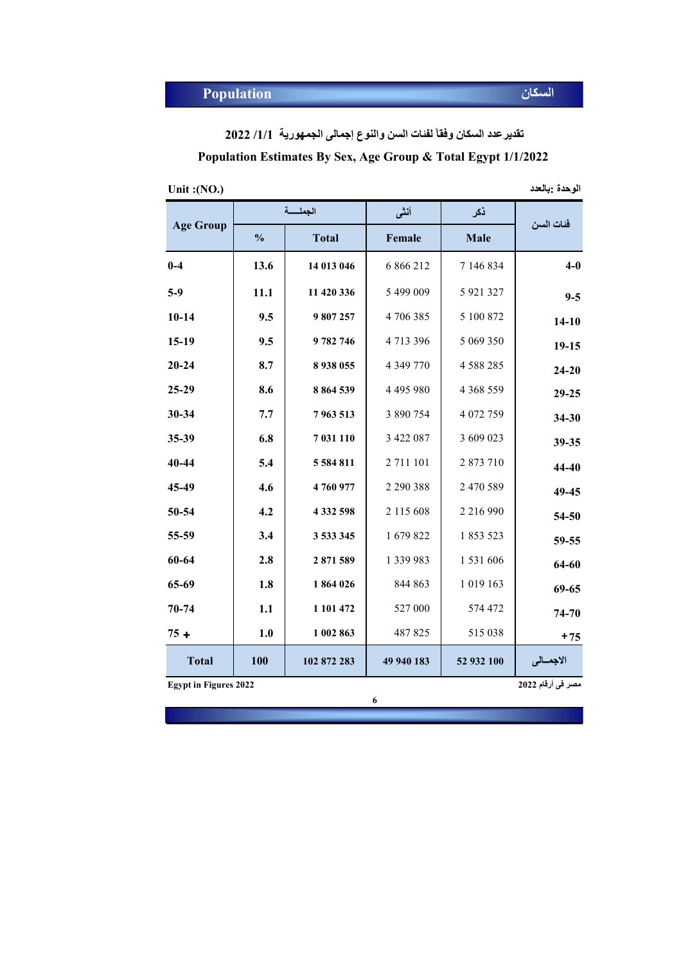**تقدیرعدد السكان وفقاً لفئات السن والنوع إجمالى الجمھوریة /1/1 2022**

**Population Estimates By Sex, Age Group & Total Egypt 1/1/2022** 

| Unit: $(NO.)$ | الوحدة :بالعدد |
|---------------|----------------|
|---------------|----------------|

| الوحدة :بالعدد |
|----------------|
|                |
|                |

|                  |               | الحملسة       | أنشى          | نكر           | فئات السن |
|------------------|---------------|---------------|---------------|---------------|-----------|
| <b>Age Group</b> | $\frac{0}{0}$ | <b>Total</b>  | Female        | Male          |           |
| $0-4$            | 13.6          | 14 013 046    | 6 866 212     | 7 146 834     | $4-0$     |
| $5-9$            | 11.1          | 11 420 336    | 5 499 009     | 5 921 327     | $9 - 5$   |
| $10 - 14$        | 9.5           | 9807257       | 4706385       | 5 100 872     | $14 - 10$ |
| $15-19$          | 9.5           | 9782746       | 4 713 396     | 5 069 350     | $19-15$   |
| $20 - 24$        | 8.7           | 8 9 38 0 55   | 4 3 4 9 7 7 0 | 4 5 8 8 2 8 5 | $24 - 20$ |
| 25-29            | 8.6           | 8 8 6 4 5 3 9 | 4 4 9 5 9 8 0 | 4 3 68 5 59   | $29 - 25$ |
| 30-34            | 7.7           | 7963513       | 3 890 754     | 4 072 759     | $34 - 30$ |
| 35-39            | 6.8           | 7 031 110     | 3 422 087     | 3 609 023     | 39-35     |
| 40-44            | 5.4           | 5 5 8 4 8 1 1 | 2 711 101     | 2 873 710     | 44-40     |
| 45-49            | 4.6           | 4760977       | 2 290 388     | 2 470 589     | 49-45     |
| 50-54            | 4.2           | 4 3 3 2 5 9 8 | 2 115 608     | 2 216 990     | 54-50     |
| 55-59            | 3.4           | 3 533 345     | 1 679 822     | 1 853 523     | 59-55     |
| 60-64            | 2.8           | 2871589       | 1 339 983     | 1 531 606     | 64-60     |
| 65-69            | 1.8           | 1864026       | 844 863       | 1 019 163     | $69 - 65$ |
| $70 - 74$        | 1.1           | 1 101 472     | 527 000       | 574 472       | 74-70     |
| $75 +$           | 1.0           | 1 002 863     | 487 825       | 515 038       | $+75$     |
| <b>Total</b>     | 100           | 102 872 283   | 49 940 183    | 52 932 100    | الاجمسالي |

**Egypt in Figures 2022**

**6**

**مصر فى أرقام 2022**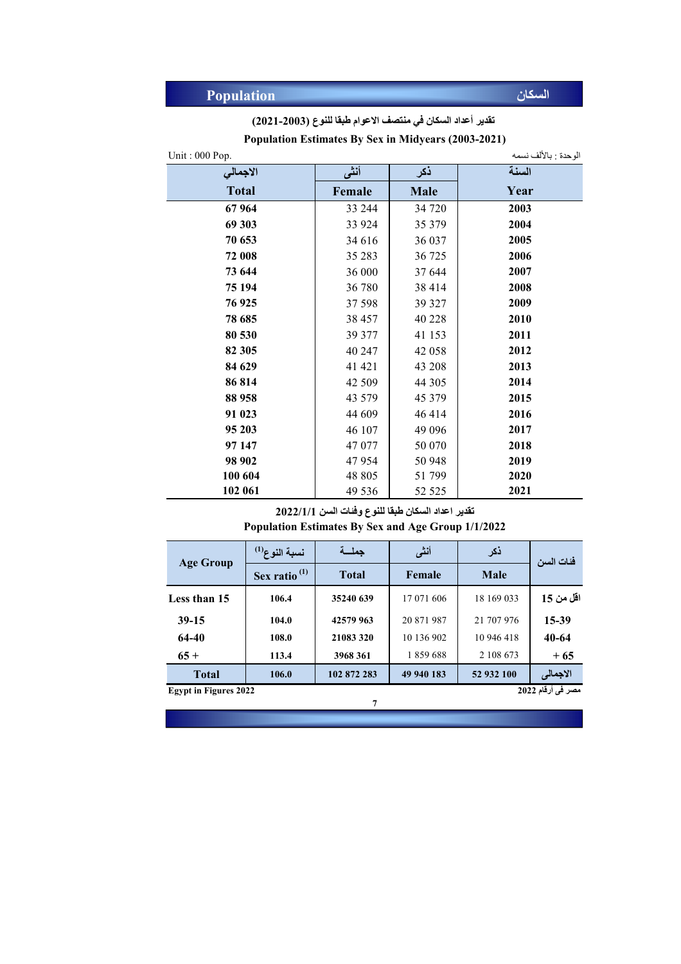|  |  | تقدير أعداد السكان في منتصف الاعوام طبقا للنوع (2003-2021) |  |  |
|--|--|------------------------------------------------------------|--|--|
|--|--|------------------------------------------------------------|--|--|

| Unit: 000 Pop. |         |             | الوحدة : بالألف نسمه |
|----------------|---------|-------------|----------------------|
| الاجمالي       | أنثى    | ذكر         | السنة                |
| <b>Total</b>   | Female  | <b>Male</b> | Year                 |
| 67964          | 33 244  | 34 720      | 2003                 |
| 69 303         | 33 924  | 35 379      | 2004                 |
| 70 653         | 34 616  | 36 037      | 2005                 |
| 72 008         | 35 28 3 | 36 725      | 2006                 |
| 73 644         | 36 000  | 37 644      | 2007                 |
| 75 194         | 36 780  | 38 414      | 2008                 |
| 76 925         | 37 598  | 39 327      | 2009                 |
| 78 685         | 38 457  | 40 228      | 2010                 |
| 80 530         | 39 377  | 41 153      | 2011                 |
| 82 305         | 40 247  | 42 058      | 2012                 |
| 84 629         | 41 421  | 43 208      | 2013                 |
| 86 814         | 42 509  | 44 30 5     | 2014                 |
| 88 958         | 43 579  | 45 379      | 2015                 |
| 91 023         | 44 609  | 46414       | 2016                 |
| 95 203         | 46 107  | 49 0 96     | 2017                 |
| 97 147         | 47 077  | 50 070      | 2018                 |
| 98 902         | 47954   | 50 948      | 2019                 |
| 100 604        | 48 805  | 51 799      | 2020                 |
| 102 061        | 49 536  | 52 5 25     | 2021                 |

**Population Estimates By Sex in Midyears (2003-2021)**

**تقدیر اعداد السكان طبقا للنوع وفئات السن 2022/1/1**

**Population Estimates By Sex and Age Group 1/1/2022**

| <b>Age Group</b>                                  | نسبة النوع <sup>(1)</sup> | حملسة        | أنشى       | ذكر         | فئات السن |  |
|---------------------------------------------------|---------------------------|--------------|------------|-------------|-----------|--|
|                                                   | Sex ratio <sup>(1)</sup>  | <b>Total</b> | Female     | <b>Male</b> |           |  |
| Less than 15                                      | 106.4                     | 35240 639    | 17 071 606 | 18 169 033  | اقل من 15 |  |
| $39-15$                                           | 104.0                     | 42579 963    | 20 871 987 | 21 707 976  | 15-39     |  |
| 64-40                                             | 108.0                     | 21083320     | 10 136 902 | 10 946 418  | 40-64     |  |
| $65+$                                             | 113.4                     | 3968 361     | 1859688    | 2 108 673   | $+65$     |  |
| <b>Total</b>                                      | 106.0                     | 102 872 283  | 49 940 183 | 52 932 100  | الاجمالى  |  |
| مصر في أرقام 2022<br><b>Egypt in Figures 2022</b> |                           |              |            |             |           |  |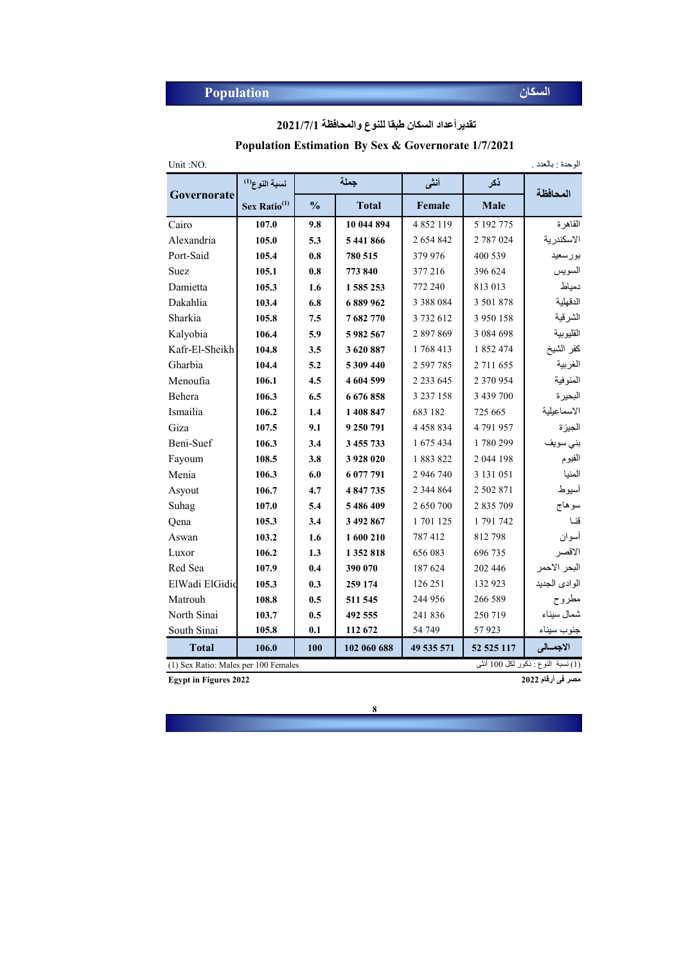**تقدیرأعداد السكان طبقا للنوع والمحافظة 2021/7/1**

#### **Population Estimation By Sex & Governorate 1/7/2021**

| Unit:NO.       | الوحدة : بالعدد .                                                           |               |              |               |               |               |  |
|----------------|-----------------------------------------------------------------------------|---------------|--------------|---------------|---------------|---------------|--|
|                | نسبة النوع <sup>(1)</sup>                                                   |               | جملة         | أنشى          | ذكر           | المحافظة      |  |
| Governorate    | Sex Ratio <sup>(1)</sup>                                                    | $\frac{0}{0}$ | <b>Total</b> | Female        | <b>Male</b>   |               |  |
| Cairo          | 107.0                                                                       | 9.8           | 10 044 894   | 4852119       | 5 192 775     | القاهرة       |  |
| Alexandria     | 105.0                                                                       | 5.3           | 5 441 866    | 2 654 842     | 2 787 024     | الاسكندرية    |  |
| Port-Said      | 105.4                                                                       | 0.8           | 780 515      | 379 976       | 400 539       | بورسعيد       |  |
| Suez           | 105.1                                                                       | 0.8           | 773 840      | 377 216       | 396 624       | السويس        |  |
| Damietta       | 105.3                                                                       | 1.6           | 1 585 253    | 772 240       | 813 013       | دمياط         |  |
| Dakahlia       | 103.4                                                                       | 6.8           | 6 889 962    | 3 3 8 8 0 8 4 | 3 501 878     | الدقهلية      |  |
| Sharkia        | 105.8                                                                       | 7.5           | 7682770      | 3732612       | 3 950 158     | الشرقية       |  |
| Kalyobia       | 106.4                                                                       | 5.9           | 5982567      | 2897869       | 3 0 8 4 6 9 8 | القليوبية     |  |
| Kafr-El-Sheikh | 104.8                                                                       | 3.5           | 3 620 887    | 1768413       | 1 852 474     | كفر الشيخ     |  |
| Gharbia        | 104.4                                                                       | 5.2           | 5 309 440    | 2 597 785     | 2 711 655     | الغربية       |  |
| Menoufia       | 106.1                                                                       | 4.5           | 4 604 599    | 2 2 3 6 4 5   | 2 370 954     | المنوفية      |  |
| Behera         | 106.3                                                                       | 6.5           | 6 676 858    | 3 2 3 7 1 5 8 | 3 439 700     | البحيرة       |  |
| Ismailia       | 106.2                                                                       | 1.4           | 1 408 847    | 683 182       | 725 665       | الاسماعيلية   |  |
| Giza           | 107.5                                                                       | 9.1           | 9 250 791    | 4 4 5 8 8 3 4 | 4791957       | الجيزة        |  |
| Beni-Suef      | 106.3                                                                       | 3.4           | 3 455 733    | 1 675 434     | 1780299       | بني سويف      |  |
| Fayoum         | 108.5                                                                       | 3.8           | 3 928 020    | 1883822       | 2 044 198     | الفيوم        |  |
| Menia          | 106.3                                                                       | 6.0           | 6 077 791    | 2 946 740     | 3 131 051     | المنيا        |  |
| Asyout         | 106.7                                                                       | 4.7           | 4 847 735    | 2 344 864     | 2 502 871     | أسيوط         |  |
| Suhag          | 107.0                                                                       | 5.4           | 5 486 409    | 2 650 700     | 2 835 709     | سوهاج         |  |
| Qena           | 105.3                                                                       | 3.4           | 3 492 867    | 1 701 125     | 1791742       | قنا           |  |
| Aswan          | 103.2                                                                       | 1.6           | 1 600 210    | 787 412       | 812798        | أسوان         |  |
| Luxor          | 106.2                                                                       | 1.3           | 1 352 818    | 656 083       | 696 735       | الاقصر        |  |
| Red Sea        | 107.9                                                                       | 0.4           | 390 070      | 187 624       | 202 446       | البحر الأحمر  |  |
| ElWadi ElGidid | 105.3                                                                       | 0.3           | 259 174      | 126 251       | 132 923       | الوادى الجديد |  |
| Matrouh        | 108.8                                                                       | 0.5           | 511 545      | 244 956       | 266 589       | مطروح         |  |
| North Sinai    | 103.7                                                                       | 0.5           | 492 555      | 241 836       | 250 719       | شمال سيناء    |  |
| South Sinai    | 105.8                                                                       | 0.1           | 112 672      | 54 749        | 57923         | جنوب سيناء    |  |
| <b>Total</b>   | 106.0                                                                       | 100           | 102 060 688  | 49 535 571    | 52 525 117    | الاجمالى      |  |
|                | (1) نسبة النوع : ذكور لكل 100 أنثـي<br>(1) Sex Ratio: Males per 100 Females |               |              |               |               |               |  |

**مصر فى أرقام 2022 2022 Figures in Egypt**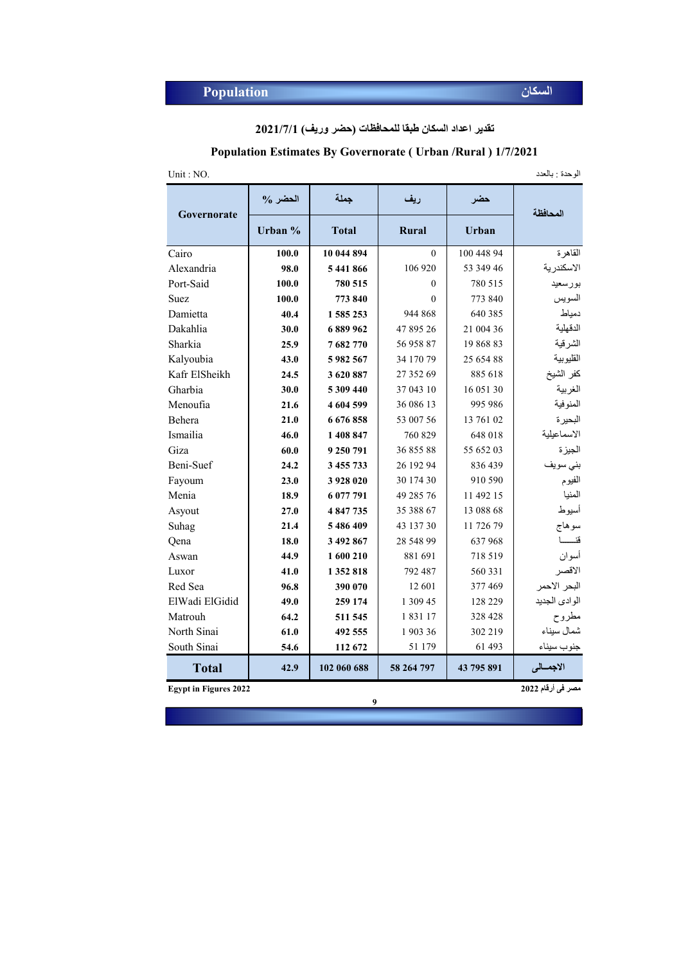**تقدیر اعداد السكان طبقا للمحافظات (حضر وریف) 2021/7/1**

#### **Population Estimates By Governorate ( Urban /Rural ) 1/7/2021**

الوحدة : بالعدد .NO : Unit

| Governorate                  | $\%$ الحضر | جملة         | ريف          | حضر        | المحافظة          |
|------------------------------|------------|--------------|--------------|------------|-------------------|
|                              | Urban %    | <b>Total</b> | <b>Rural</b> | Urban      |                   |
| Cairo                        | 100.0      | 10 044 894   | $\theta$     | 100 448 94 | القاهرة           |
| Alexandria                   | 98.0       | 5441866      | 106 920      | 53 349 46  | الاسكندرية        |
| Port-Said                    | 100.0      | 780 515      | $\Omega$     | 780 515    | بورسعيد           |
| <b>Suez</b>                  | 100.0      | 773 840      | $\Omega$     | 773 840    | السويس            |
| Damietta                     | 40.4       | 1585253      | 944 868      | 640 385    | دمياط             |
| Dakahlia                     | 30.0       | 6889962      | 47 895 26    | 21 004 36  | الدقهلية          |
| Sharkia                      | 25.9       | 7682770      | 56 958 87    | 19 868 83  | الشرقية           |
| Kalyoubia                    | 43.0       | 5982567      | 34 170 79    | 25 654 88  | القليوبية         |
| Kafr ElSheikh                | 24.5       | 3620887      | 27 352 69    | 885 618    | كفر الشيخ         |
| Gharbia                      | 30.0       | 5 309 440    | 37 043 10    | 16 051 30  | الغربية           |
| Menoufia                     | 21.6       | 4 604 599    | 36 086 13    | 995 986    | المنوفية          |
| Behera                       | 21.0       | 6676858      | 53 007 56    | 13 761 02  | البحير ة          |
| Ismailia                     | 46.0       | 1 408 847    | 760 829      | 648 018    | الاسماعيلية       |
| Giza                         | 60.0       | 9 250 791    | 36 855 88    | 55 652 03  | الجيزة            |
| Beni-Suef                    | 24.2       | 3 455 733    | 26 192 94    | 836 439    | بني سويف          |
| Fayoum                       | 23.0       | 3 928 020    | 30 174 30    | 910 590    | الفيوم            |
| Menia                        | 18.9       | 6 077 791    | 49 285 76    | 11 492 15  | المنيا            |
| Asyout                       | 27.0       | 4 847 735    | 35 388 67    | 13 088 68  | أسيوط             |
| Suhag                        | 21.4       | 5486409      | 43 137 30    | 11 726 79  | سوهاج             |
| Qena                         | 18.0       | 3 492 867    | 28 548 99    | 637968     | قنـــــا          |
| Aswan                        | 44.9       | 1 600 210    | 881 691      | 718 519    | أسوان             |
| Luxor                        | 41.0       | 1352818      | 792 487      | 560 331    | الاقصر            |
| Red Sea                      | 96.8       | 390 070      | 12 601       | 377469     | البحر الاحمر      |
| ElWadi ElGidid               | 49.0       | 259 174      | 1 309 45     | 128 229    | الوادي الجديد     |
| Matrouh                      | 64.2       | 511 545      | 183117       | 328 428    | مطروح             |
| North Sinai                  | 61.0       | 492 555      | 190336       | 302 219    | شمال سيناء        |
| South Sinai                  | 54.6       | 112 672      | 51 179       | 61 493     | جنوب سيناء        |
| <b>Total</b>                 | 42.9       | 102 060 688  | 58 264 797   | 43 795 891 | الاجمالي          |
| <b>Egypt in Figures 2022</b> |            |              |              |            | مصر في أرقام 2022 |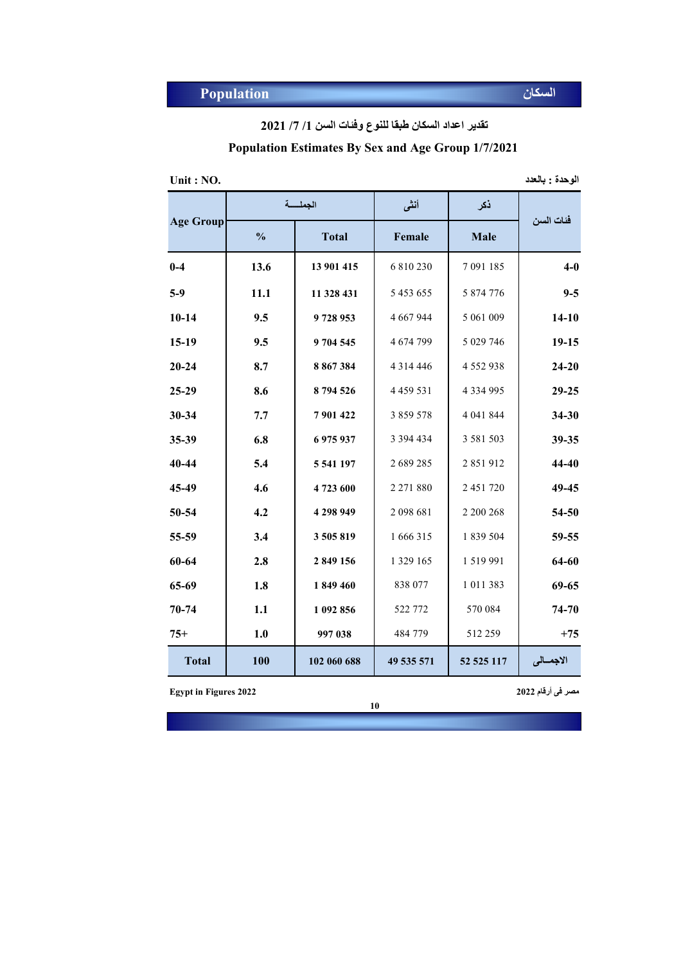**تقدیر اعداد السكان طبقا للنوع وفئات السن /1 /7 2021**

# **Population Estimates By Sex and Age Group 1/7/2021**

| الوحدة : بالعدد<br>Unit : NO. |  |  |  |
|-------------------------------|--|--|--|
|-------------------------------|--|--|--|

| الوحدة وبالعدد |  |  |
|----------------|--|--|
|                |  |  |

|                  |               | الجملسة      | أنشى            | نكر           |            |
|------------------|---------------|--------------|-----------------|---------------|------------|
| <b>Age Group</b> | $\frac{0}{0}$ | <b>Total</b> | Female          | Male          | فئات السن  |
| $0-4$            | 13.6          | 13 901 415   | 6 810 230       | 7 091 185     | $4-0$      |
| $5-9$            | 11.1          | 11 328 431   | 5 4 5 3 6 5 5   | 5 874 776     | $9 - 5$    |
| $10 - 14$        | 9.5           | 9728953      | 4 667 944       | 5 061 009     | $14 - 10$  |
| $15-19$          | 9.5           | 9 704 545    | 4 674 799       | 5 029 746     | $19-15$    |
| $20 - 24$        | 8.7           | 8 867 384    | 4 3 1 4 4 4 4 6 | 4 5 5 2 9 3 8 | $24 - 20$  |
| 25-29            | 8.6           | 8794526      | 4 4 5 9 5 3 1   | 4 3 3 4 9 9 5 | $29 - 25$  |
| 30-34            | 7.7           | 7901422      | 3 859 578       | 4 041 844     | $34 - 30$  |
| 35-39            | 6.8           | 6 975 937    | 3 3 9 4 4 3 4   | 3 581 503     | 39-35      |
| 40-44            | 5.4           | 5 541 197    | 2 689 285       | 2851912       | 44-40      |
| 45-49            | 4.6           | 4723600      | 2 271 880       | 2 451 720     | 49-45      |
| 50-54            | 4.2           | 4 298 949    | 2 098 681       | 2 200 268     | 54-50      |
| 55-59            | 3.4           | 3505819      | 1 666 315       | 1 839 504     | 59-55      |
| 60-64            | 2.8           | 2 849 156    | 1 329 165       | 1 519 991     | 64-60      |
| 65-69            | 1.8           | 1849 460     | 838 077         | 1 011 383     | 69-65      |
| 70-74            | 1.1           | 1 092 856    | 522 772         | 570 084       | 74-70      |
| $75+$            | 1.0           | 997 038      | 484 779         | 512 259       | $+75$      |
| <b>Total</b>     | 100           | 102 060 688  | 49 535 571      | 52 525 117    | الاجمــالى |

**مصر فى أرقام 2022 2022 Figures in Egypt**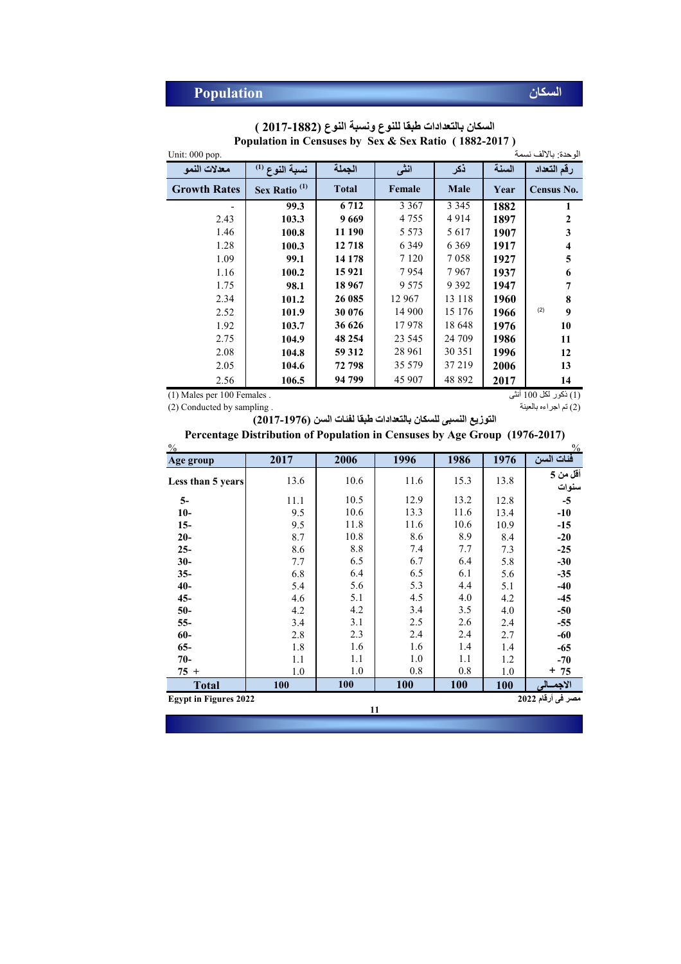| Unit: $000$ pop.    |                          |              |         |         |       | الو حدة: بالألف نسمة |
|---------------------|--------------------------|--------------|---------|---------|-------|----------------------|
| معدلات النمو        | نسبة النوع (1)           | الجملة       | انشى    | ذكر     | السنة | رقم التعداد          |
| <b>Growth Rates</b> | Sex Ratio <sup>(1)</sup> | <b>Total</b> | Female  | Male    | Year  | Census No.           |
|                     | 99.3                     | 6 7 1 2      | 3 3 6 7 | 3 3 4 5 | 1882  | 1                    |
| 2.43                | 103.3                    | 9669         | 4755    | 4914    | 1897  | $\mathbf{2}$         |
| 1.46                | 100.8                    | 11 190       | 5 5 7 3 | 5617    | 1907  | 3                    |
| 1.28                | 100.3                    | 12 718       | 6 3 4 9 | 6 3 6 9 | 1917  | 4                    |
| 1.09                | 99.1                     | 14 178       | 7 1 2 0 | 7058    | 1927  | 5                    |
| 1.16                | 100.2                    | 15 9 21      | 7954    | 7967    | 1937  | 6                    |
| 1.75                | 98.1                     | 18 9 67      | 9 5 7 5 | 9 3 9 2 | 1947  | 7                    |
| 2.34                | 101.2                    | 26 085       | 12 967  | 13 118  | 1960  | 8                    |
| 2.52                | 101.9                    | 30 076       | 14 900  | 15 176  | 1966  | (2)<br>9             |
| 1.92                | 103.7                    | 36 626       | 17978   | 18 648  | 1976  | 10                   |
| 2.75                | 104.9                    | 48 254       | 23 545  | 24 709  | 1986  | 11                   |
| 2.08                | 104.8                    | 59 312       | 28 961  | 30 351  | 1996  | 12                   |
| 2.05                | 104.6                    | 72 798       | 35 5 79 | 37 219  | 2006  | 13                   |
| 2.56                | 106.5                    | 94 799       | 45 907  | 48 892  | 2017  | 14                   |

**السكان بالتعدادات طبقا للنوع ونسبة النوع (2017-1882 ) Population in Censuses by Sex & Sex Ratio ( 1882-2017 )**

(1) Males per 100 Females .

(1) ذكور لكل 100 أنثى

 $\frac{9}{9}$ **Less than 5 years** 13.6 13.8 **5 من أقل سنوات 5-** 11.1 10.5 12.9 13.2 12.8 5 **10- 10.6 13.3 11.6 13.4 -10 15- 11.8 11.6 11.6 10.6 10.9 15 20- 1** 8.7 **10.8 8.6 8.9 8.4 -20 25- 1** 8.6 8.8 7.4 7.7 7.3 **-25 30- 1** 7.7 6.5 6.7 6.4 5.8 **-30 35- 6.8 6.4 6.5 6.1 5.6 -35 40-** 5.4 5.1 **-40 45- 1 4.6 1 5.1 4.5 1 4.0 1 4.2 1 45 50- 1 4.2 4.2 1 5.4 1 5.5 4.0 1 -50 55-** 3.4 2.4 **-55 60-** 2.8 2.7 **-60 65-** 1.8 1.4 **-65 70-** 1.1 1.2 **-70 75 +** 1.0 1.0 **75 الاجمــالى 100 100 Total مصر فى أرقام 2022 2022 Figures in Egypt 100** 1.1 1.0 **100** 6.4 5.6 5.1 4.2 3.1 2.3 6.1 4.4 4.0 3.5 2.6 2.4 2.5 6.4 10.8 8.8 6.5 **التوزیع النسبى للسكان بالتعدادات طبقا لفئات السن (2017-1976)** 10.6 8.9 7.7 10.6 10.5 10.6 11.8 15.3 13.2 11.6 **Age group Percentage Distribution of Population in Censuses by Age Group (1976-2017)** (2) تم اجراءه بالعینة . (2) تم اجراءه بالعینة . (3) تم اجراءه بالعین . (3) تم اجراءه بالعین . (3) (3) (3) (3) **11** 2.4 1.6 1.0 0.8 **100** 1.4 1.1 0.8 1.6 6.7 6.5 5.3 4.5 3.4 11.6 12.9 13.3 11.6 8.6 7.4 **2017 2006 فئات السن 1976 1986 1996**  $+ 75$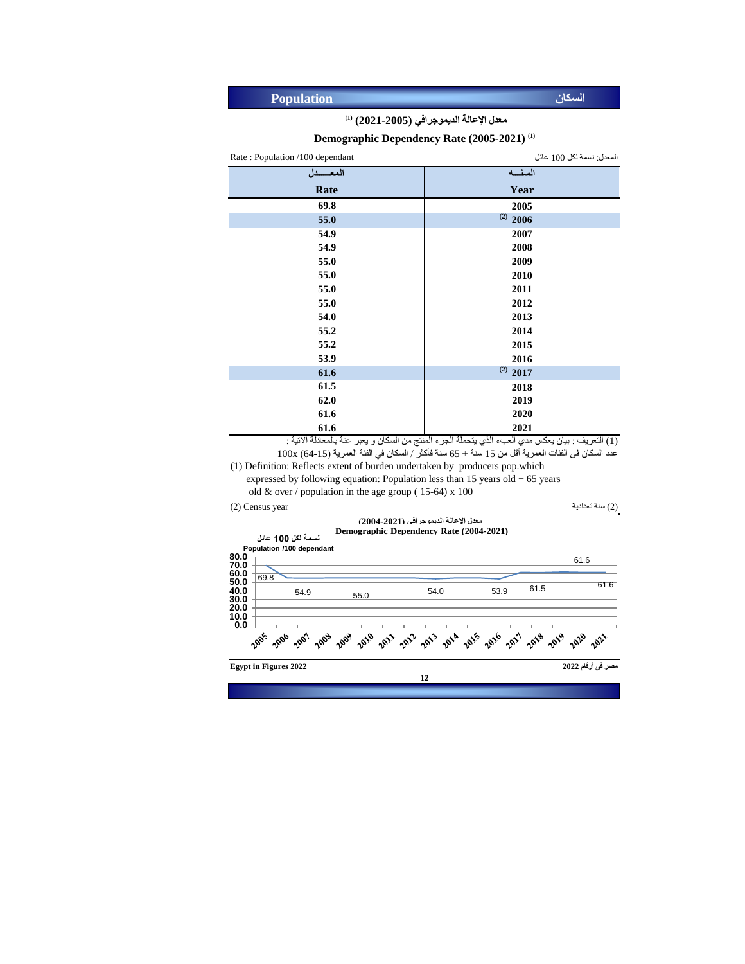| <b>Population</b> | السكان |
|-------------------|--------|
|-------------------|--------|

#### **(1) معدل اإلعالة الديموجرافي (2021-2005)**

#### **Demographic Dependency Rate (2005-2021) (1)**

المعدل: نسمة لكل 100 عائل **السنـــه** Rate : Population /100 dependant **المعــــــدل**

| ັ    |               |
|------|---------------|
| Rate | Year          |
| 69.8 | 2005          |
| 55.0 | $^{(2)}$ 2006 |
| 54.9 | 2007          |
| 54.9 | 2008          |
| 55.0 | 2009          |
| 55.0 | 2010          |
| 55.0 | 2011          |
| 55.0 | 2012          |
| 54.0 | 2013          |
| 55.2 | 2014          |
| 55.2 | 2015          |
| 53.9 | 2016          |
| 61.6 | $^{(2)}$ 2017 |
| 61.5 | 2018          |
| 62.0 | 2019          |
| 61.6 | 2020          |
| 61.6 | 2021          |

)1( التعريف : بيان يعكس مدي العبء الذي يتحملة الجزء المنتج من السكان و يعبر عنة بالمعادلة االتية : عدد السكان فى الفئات العمرية أقل من 15 سنة + 65 سنة فأكثر / السكان في الفئة العمرية (15-64) 100x

(1) Definition: Reflects extent of burden undertaken by producers pop.which expressed by following equation: Population less than  $15$  years old  $+ 65$  years

old  $& over / population in the age group (15-64) \times 100$ 

)2( سنة تعدادية year Census) 2(

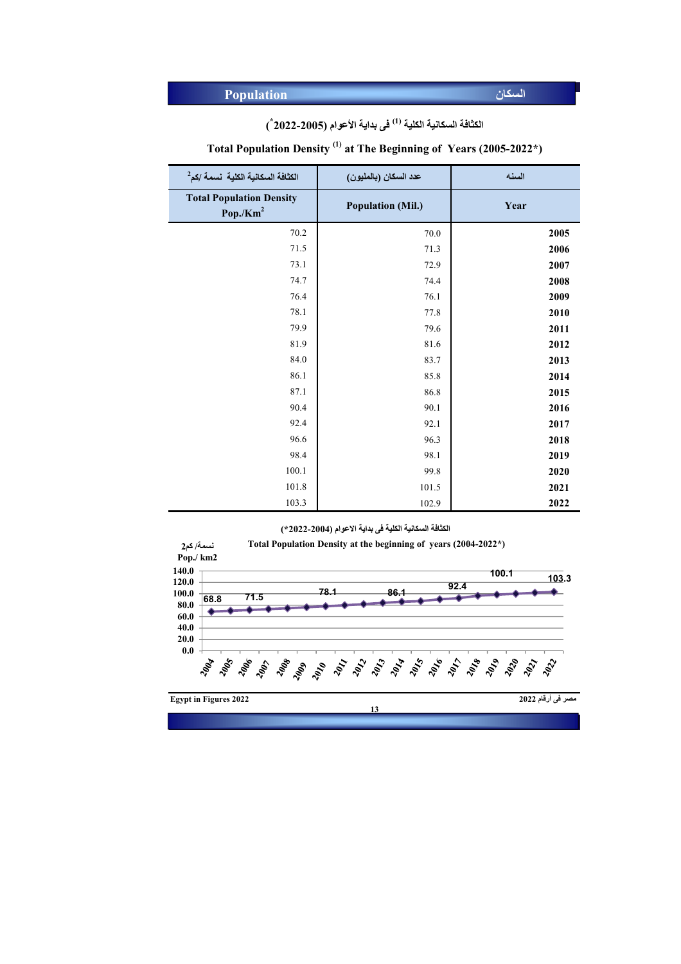İ

|  |  |  | الكثافة السكانية الكلية <sup>(1)</sup> في بداية الأعوام (2005-2022 ٌ ) |
|--|--|--|------------------------------------------------------------------------|
|--|--|--|------------------------------------------------------------------------|

## **Total Population Density (1) at The Beginning of Years (2005-2022\*)**

| الكثافة السكانية الكلية  نسمة /كم <sup>2</sup>          | عدد السكان (بالمليون)    | السنه |
|---------------------------------------------------------|--------------------------|-------|
| <b>Total Population Density</b><br>Pop./Km <sup>2</sup> | <b>Population (Mil.)</b> | Year  |
| 70.2                                                    | 70.0                     | 2005  |
| 71.5                                                    | 71.3                     | 2006  |
| 73.1                                                    | 72.9                     | 2007  |
| 74.7                                                    | 74.4                     | 2008  |
| 76.4                                                    | 76.1                     | 2009  |
| 78.1                                                    | 77.8                     | 2010  |
| 79.9                                                    | 79.6                     | 2011  |
| 81.9                                                    | 81.6                     | 2012  |
| 84.0                                                    | 83.7                     | 2013  |
| 86.1                                                    | 85.8                     | 2014  |
| 87.1                                                    | 86.8                     | 2015  |
| 90.4                                                    | 90.1                     | 2016  |
| 92.4                                                    | 92.1                     | 2017  |
| 96.6                                                    | 96.3                     | 2018  |
| 98.4                                                    | 98.1                     | 2019  |
| 100.1                                                   | 99.8                     | 2020  |
| 101.8                                                   | 101.5                    | 2021  |
| 103.3                                                   | 102.9                    | 2022  |

**الكثافة السكانیة الكلیة فى بدایة الاعوام (2022-2004\*)**